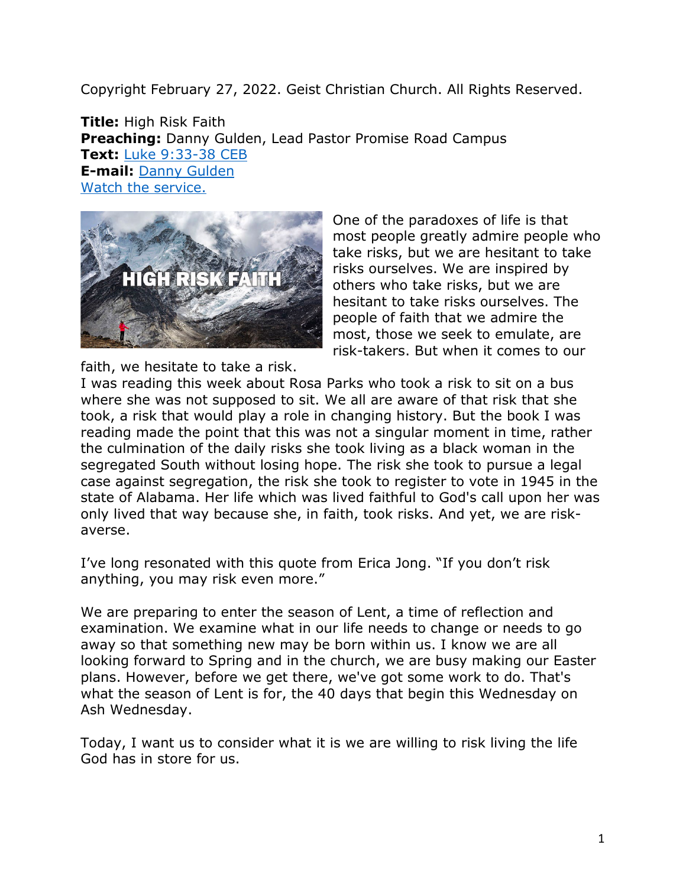Copyright February 27, 2022. Geist Christian Church. All Rights Reserved.

**Title:** High Risk Faith **Preaching:** Danny Gulden, Lead Pastor Promise Road Campus **Text:** [Luke 9:33-38 CEB](https://www.biblegateway.com/passage/?search=Luke+9%3A33-38&version=CEB) **E-mail:** [Danny Gulden](mailto:danny.gulden@geistchristian.org) [Watch the service.](https://www.youtube.com/promiseroadlive)



One of the paradoxes of life is that most people greatly admire people who take risks, but we are hesitant to take risks ourselves. We are inspired by others who take risks, but we are hesitant to take risks ourselves. The people of faith that we admire the most, those we seek to emulate, are risk-takers. But when it comes to our

faith, we hesitate to take a risk.

I was reading this week about Rosa Parks who took a risk to sit on a bus where she was not supposed to sit. We all are aware of that risk that she took, a risk that would play a role in changing history. But the book I was reading made the point that this was not a singular moment in time, rather the culmination of the daily risks she took living as a black woman in the segregated South without losing hope. The risk she took to pursue a legal case against segregation, the risk she took to register to vote in 1945 in the state of Alabama. Her life which was lived faithful to God's call upon her was only lived that way because she, in faith, took risks. And yet, we are riskaverse.

I've long resonated with this quote from Erica Jong. "If you don't risk anything, you may risk even more."

We are preparing to enter the season of Lent, a time of reflection and examination. We examine what in our life needs to change or needs to go away so that something new may be born within us. I know we are all looking forward to Spring and in the church, we are busy making our Easter plans. However, before we get there, we've got some work to do. That's what the season of Lent is for, the 40 days that begin this Wednesday on Ash Wednesday.

Today, I want us to consider what it is we are willing to risk living the life God has in store for us.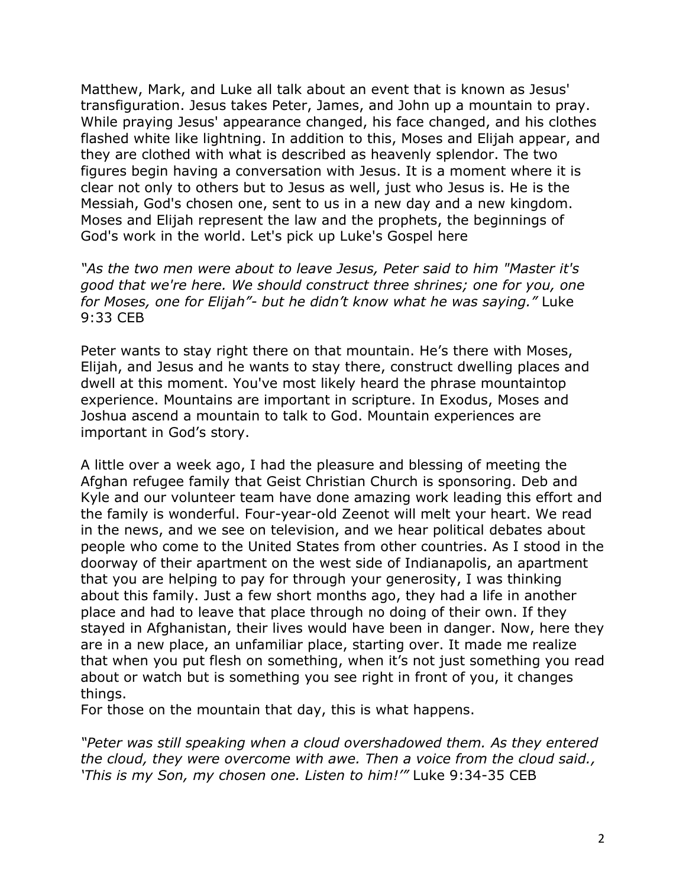Matthew, Mark, and Luke all talk about an event that is known as Jesus' transfiguration. Jesus takes Peter, James, and John up a mountain to pray. While praying Jesus' appearance changed, his face changed, and his clothes flashed white like lightning. In addition to this, Moses and Elijah appear, and they are clothed with what is described as heavenly splendor. The two figures begin having a conversation with Jesus. It is a moment where it is clear not only to others but to Jesus as well, just who Jesus is. He is the Messiah, God's chosen one, sent to us in a new day and a new kingdom. Moses and Elijah represent the law and the prophets, the beginnings of God's work in the world. Let's pick up Luke's Gospel here

*"As the two men were about to leave Jesus, Peter said to him "Master it's good that we're here. We should construct three shrines; one for you, one for Moses, one for Elijah"- but he didn't know what he was saying."* Luke 9:33 CEB

Peter wants to stay right there on that mountain. He's there with Moses, Elijah, and Jesus and he wants to stay there, construct dwelling places and dwell at this moment. You've most likely heard the phrase mountaintop experience. Mountains are important in scripture. In Exodus, Moses and Joshua ascend a mountain to talk to God. Mountain experiences are important in God's story.

A little over a week ago, I had the pleasure and blessing of meeting the Afghan refugee family that Geist Christian Church is sponsoring. Deb and Kyle and our volunteer team have done amazing work leading this effort and the family is wonderful. Four-year-old Zeenot will melt your heart. We read in the news, and we see on television, and we hear political debates about people who come to the United States from other countries. As I stood in the doorway of their apartment on the west side of Indianapolis, an apartment that you are helping to pay for through your generosity, I was thinking about this family. Just a few short months ago, they had a life in another place and had to leave that place through no doing of their own. If they stayed in Afghanistan, their lives would have been in danger. Now, here they are in a new place, an unfamiliar place, starting over. It made me realize that when you put flesh on something, when it's not just something you read about or watch but is something you see right in front of you, it changes things.

For those on the mountain that day, this is what happens.

*"Peter was still speaking when a cloud overshadowed them. As they entered the cloud, they were overcome with awe. Then a voice from the cloud said., 'This is my Son, my chosen one. Listen to him!'"* Luke 9:34-35 CEB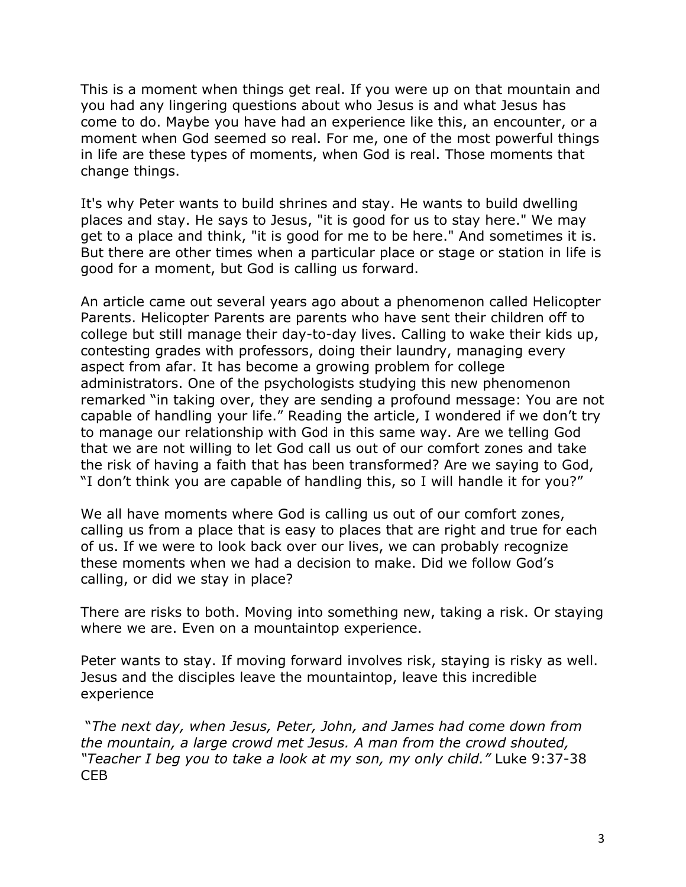This is a moment when things get real. If you were up on that mountain and you had any lingering questions about who Jesus is and what Jesus has come to do. Maybe you have had an experience like this, an encounter, or a moment when God seemed so real. For me, one of the most powerful things in life are these types of moments, when God is real. Those moments that change things.

It's why Peter wants to build shrines and stay. He wants to build dwelling places and stay. He says to Jesus, "it is good for us to stay here." We may get to a place and think, "it is good for me to be here." And sometimes it is. But there are other times when a particular place or stage or station in life is good for a moment, but God is calling us forward.

An article came out several years ago about a phenomenon called Helicopter Parents. Helicopter Parents are parents who have sent their children off to college but still manage their day-to-day lives. Calling to wake their kids up, contesting grades with professors, doing their laundry, managing every aspect from afar. It has become a growing problem for college administrators. One of the psychologists studying this new phenomenon remarked "in taking over, they are sending a profound message: You are not capable of handling your life." Reading the article, I wondered if we don't try to manage our relationship with God in this same way. Are we telling God that we are not willing to let God call us out of our comfort zones and take the risk of having a faith that has been transformed? Are we saying to God, "I don't think you are capable of handling this, so I will handle it for you?"

We all have moments where God is calling us out of our comfort zones, calling us from a place that is easy to places that are right and true for each of us. If we were to look back over our lives, we can probably recognize these moments when we had a decision to make. Did we follow God's calling, or did we stay in place?

There are risks to both. Moving into something new, taking a risk. Or staying where we are. Even on a mountaintop experience.

Peter wants to stay. If moving forward involves risk, staying is risky as well. Jesus and the disciples leave the mountaintop, leave this incredible experience

"*The next day, when Jesus, Peter, John, and James had come down from the mountain, a large crowd met Jesus. A man from the crowd shouted, "Teacher I beg you to take a look at my son, my only child."* Luke 9:37-38 CEB